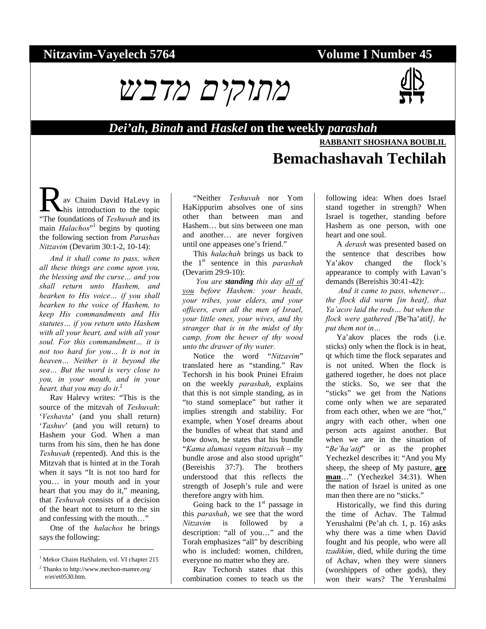# Nitzavim-Vayelech 5764 **Volume I Number 45**





*Dei'ah***,** *Binah* **and** *Haskel* **on the weekly** *parashah*

## **RABBANIT SHOSHANA BOUBLIL Bemachashavah Techilah**

av Chaim David HaLevy in his introduction to the topic **R** av Chaim David HaLevy in<br>
"The foundations of *Teshuvah* and its main *Halachos*"<sup>1</sup> begins by quoting the following section from *Parashas Nitzavim* (Devarim 30:1-2, 10-14):

*And it shall come to pass, when all these things are come upon you, the blessing and the curse… and you shall return unto Hashem, and hearken to His voice… if you shall hearken to the voice of Hashem, to keep His commandments and His statutes… if you return unto Hashem with all your heart, and with all your soul. For this commandment… it is not too hard for you… It is not in heaven… Neither is it beyond the sea… But the word is very close to you, in your mouth, and in your heart, that you may do it.*<sup>2</sup>

Rav Halevy writes: "This is the source of the mitzvah of *Teshuvah*: '*Veshavta*' (and you shall return) '*Tashuv*' (and you will return) to Hashem your God. When a man turns from his sins, then he has done *Teshuvah* (repented). And this is the Mitzvah that is hinted at in the Torah when it says "It is not too hard for you… in your mouth and in your heart that you may do it," meaning, that *Teshuvah* consists of a decision of the heart not to return to the sin and confessing with the mouth…"

One of the *halachos* he brings says the following:

l

"Neither *Teshuvah* nor Yom HaKippurim absolves one of sins other than between man and Hashem… but sins between one man and another… are never forgiven until one appeases one's friend."

This *halachah* brings us back to the 1st sentence in this *parashah* (Devarim 29:9-10):

 *You are standing this day all of you before Hashem: your heads, your tribes, your elders, and your officers, even all the men of Israel, your little ones, your wives, and thy stranger that is in the midst of thy camp, from the hewer of thy wood unto the drawer of thy water.* 

Notice the word "*Nitzavim*" translated here as "standing." Rav Techorsh in his book Pninei Efraim on the weekly *parashah*, explains that this is not simple standing, as in "to stand someplace" but rather it implies strength and stability. For example, when Yosef dreams about the bundles of wheat that stand and bow down, he states that his bundle "*Kama alumasi vegam nitzavah* – my bundle arose and also stood upright" (Bereishis 37:7). The brothers understood that this reflects the strength of Joseph's rule and were therefore angry with him.

Going back to the  $1<sup>st</sup>$  passage in this *parashah*, we see that the word *Nitzavim* is followed by a description: "all of you…" and the Torah emphasizes "all" by describing who is included: women, children, everyone no matter who they are.

Rav Techorsh states that this combination comes to teach us the following idea: When does Israel stand together in strength? When Israel is together, standing before Hashem as one person, with one heart and one soul.

A *derash* was presented based on the sentence that describes how Ya'akov changed the flock's appearance to comply with Lavan's demands (Bereishis 30:41-42):

 *And it came to pass, whenever… the flock did warm [in heat], that Ya'acov laid the rods… but when the flock were gathered [*Be'ha'atif*], he put them not in…*

Ya'akov places the rods (i.e. sticks) only when the flock is in heat, qt which time the flock separates and is not united. When the flock is gathered together, he does not place the sticks. So, we see that the "sticks" we get from the Nations come only when we are separated from each other, when we are "hot," angry with each other, when one person acts against another. But when we are in the situation of "*Be'ha'atif*" or as the prophet Yechezkel describes it: "And you My sheep, the sheep of My pasture, **are man**…" (Yechezkel 34:31). When the nation of Israel is united as one man then there are no "sticks."

Historically, we find this during the time of Achav. The Talmud Yerushalmi (Pe'ah ch. 1, p. 16) asks why there was a time when David fought and his people, who were all *tzadikim*, died, while during the time of Achav, when they were sinners (worshippers of other gods), they won their wars? The Yerushalmi

<sup>&</sup>lt;sup>1</sup> Mekor Chaim HaShalem, vol. VI chapter 215 2 Thanks to http://www.mechon-mamre.org/

e/et/et0530.htm.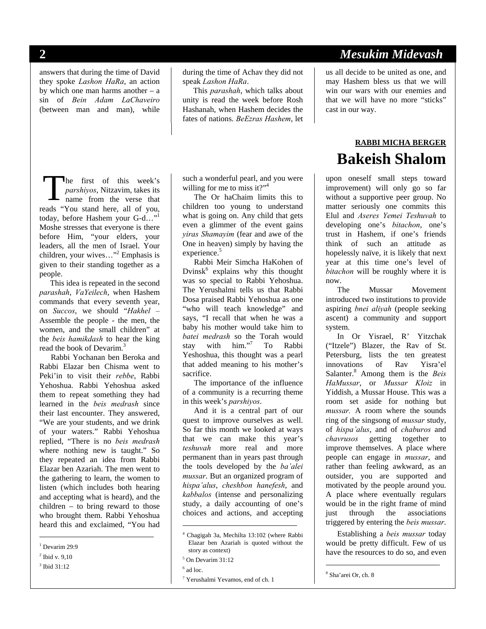answers that during the time of David they spoke *Lashon HaRa*, an action by which one man harms another – a sin of *Bein Adam LaChaveiro* (between man and man), while

during the time of Achav they did not speak *Lashon HaRa*.

This *parashah*, which talks about unity is read the week before Rosh Hashanah, when Hashem decides the fates of nations. *BeEzras Hashem*, let

he first of this week's *parshiyos*, Nitzavim, takes its name from the verse that reads "You stand here, all of you, today, before Hashem your G-d..." Moshe stresses that everyone is there before Him, "your elders, your leaders, all the men of Israel. Your children, your wives..."<sup>2</sup> Emphasis is given to their standing together as a people. T

This idea is repeated in the second *parashah*, *VaYeilech*, when Hashem commands that every seventh year, on *Succos*, we should "*Hakhel –*  Assemble the people - the men, the women, and the small children" at the *beis hamikdash* to hear the king read the book of Devarim.<sup>3</sup>

Rabbi Yochanan ben Beroka and Rabbi Elazar ben Chisma went to Peki'in to visit their *rebbe*, Rabbi Yehoshua. Rabbi Yehoshua asked them to repeat something they had learned in the *beis medrash* since their last encounter. They answered, "We are your students, and we drink of your waters." Rabbi Yehoshua replied, "There is no *beis medrash* where nothing new is taught." So they repeated an idea from Rabbi Elazar ben Azariah. The men went to the gathering to learn, the women to listen (which includes both hearing and accepting what is heard), and the children – to bring reward to those who brought them. Rabbi Yehoshua heard this and exclaimed, "You had

<sup>1</sup> Devarim 29:9

l

3 Ibid 31:12

such a wonderful pearl, and you were willing for me to miss it?" $4$ 

The Or haChaim limits this to children too young to understand what is going on. Any child that gets even a glimmer of the event gains *yiras Shamayim* (fear and awe of the One in heaven) simply by having the experience.<sup>5</sup>

Rabbi Meir Simcha HaKohen of Dvinsk<sup>6</sup> explains why this thought was so special to Rabbi Yehoshua. The Yerushalmi tells us that Rabbi Dosa praised Rabbi Yehoshua as one "who will teach knowledge" and says, "I recall that when he was a baby his mother would take him to *batei medrash* so the Torah would stay with him."7 To Rabbi Yeshoshua, this thought was a pearl that added meaning to his mother's sacrifice.

The importance of the influence of a community is a recurring theme in this week's *parshiyos*.

And it is a central part of our quest to improve ourselves as well. So far this month we looked at ways that we can make this year's *teshuvah* more real and more permanent than in years past through the tools developed by the *ba'alei mussar*. But an organized program of *hispa'alus*, *cheshbon hanefesh*, and *kabbalos* (intense and personalizing study, a daily accounting of one's choices and actions, and accepting

1

# **2** *Mesukim Midevash*

us all decide to be united as one, and may Hashem bless us that we will win our wars with our enemies and that we will have no more "sticks" cast in our way.

# **RABBI MICHA BERGER Bakeish Shalom**

upon oneself small steps toward improvement) will only go so far without a supportive peer group. No matter seriously one commits this Elul and *Aseres Yemei Teshuvah* to developing one's *bitachon*, one's trust in Hashem, if one's friends think of such an attitude as hopelessly naïve, it is likely that next year at this time one's level of *bitachon* will be roughly where it is now.

The Mussar Movement introduced two institutions to provide aspiring *bnei aliyah* (people seeking ascent) a community and support system.

In Or Yisrael, R' Yitzchak ("Itzele") Blazer, the Rav of St. Petersburg, lists the ten greatest innovations of Rav Yisra'el Salanter.<sup>8</sup> Among them is the *Beis HaMussar*, or *Mussar Kloiz* in Yiddish, a Mussar House. This was a room set aside for nothing but *mussar.* A room where the sounds ring of the singsong of *mussar* study, of *hispa'alus*, and of *chaburos* and *chavrusos* getting together to improve themselves. A place where people can engage in *mussar*, and rather than feeling awkward, as an outsider, you are supported and motivated by the people around you. A place where eventually regulars would be in the right frame of mind just through the associations triggered by entering the *beis mussar*.

Establishing a *beis mussar* today would be pretty difficult. Few of us have the resources to do so, and even

 $\overline{a}$ 

<sup>2</sup> Ibid v. 9,10

<sup>4</sup> Chagigah 3a, Mechilta 13:102 (where Rabbi Elazar ben Azariah is quoted without the story as context)

<sup>5</sup> On Devarim 31:12

 $<sup>6</sup>$  ad loc.</sup>

<sup>7</sup> Yerushalmi Yevamos, end of ch. 1

<sup>8</sup> Sha'arei Or, ch. 8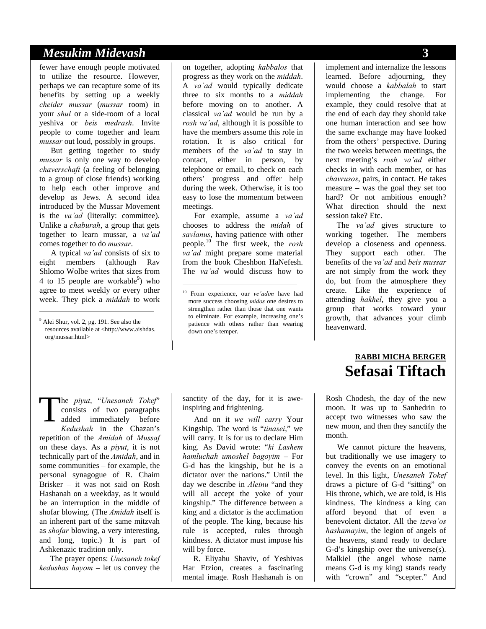### *Mesukim Midevash* **3**

fewer have enough people motivated to utilize the resource. However, perhaps we can recapture some of its benefits by setting up a weekly *cheider mussar* (*mussar* room) in your *shul* or a side-room of a local yeshiva or *beis medrash*. Invite people to come together and learn *mussar* out loud, possibly in groups.

But getting together to study *mussar* is only one way to develop *chaverschaft* (a feeling of belonging to a group of close friends) working to help each other improve and develop as Jews. A second idea introduced by the Mussar Movement is the *va'ad* (literally: committee). Unlike a *chaburah*, a group that gets together to learn mussar, a *va'ad* comes together to do *mussar*.

A typical *va'ad* consists of six to eight members (although Rav Shlomo Wolbe writes that sizes from 4 to 15 people are workable<sup>9</sup>) who agree to meet weekly or every other week. They pick a *middah* to work

<sup>9</sup> Alei Shur, vol. 2, pg. 191. See also the resources available at <http://www.aishdas. org/mussar.html>

l

on together, adopting *kabbalos* that progress as they work on the *middah*. A *va'ad* would typically dedicate three to six months to a *middah* before moving on to another. A classical *va'ad* would be run by a *rosh va'ad*, although it is possible to have the members assume this role in rotation. It is also critical for members of the *va'ad* to stay in contact, either in person, by telephone or email, to check on each others' progress and offer help during the week. Otherwise, it is too easy to lose the momentum between meetings.

For example, assume a *va'ad* chooses to address the *midah* of *savlanus*, having patience with other people.10 The first week, the *rosh va'ad* might prepare some material from the book Cheshbon HaNefesh. The *va'ad* would discuss how to

-

he *piyut*, "*Unesaneh Tokef*" consists of two paragraphs added immediately before *Kedushah* in the Chazan's repetition of the *Amidah* of *Mussaf*  on these days. As a *piyut*, it is not technically part of the *Amidah*, and in some communities – for example, the personal synagogue of R. Chaim Brisker – it was not said on Rosh Hashanah on a weekday, as it would be an interruption in the middle of shofar blowing. (The *Amidah* itself is an inherent part of the same mitzvah as *shofar* blowing, a very interesting, and long, topic.) It is part of Ashkenazic tradition only. T

The prayer opens: *Unesaneh tokef kedushas hayom* – let us convey the

sanctity of the day, for it is aweinspiring and frightening.

And on it *we will carry* Your Kingship. The word is "*tinasei*," we will carry. It is for us to declare Him king. As David wrote: "*ki Lashem hamluchah umoshel bagoyim* – For G-d has the kingship, but he is a dictator over the nations." Until the day we describe in *Aleinu* "and they will all accept the yoke of your kingship." The difference between a king and a dictator is the acclimation of the people. The king, because his rule is accepted, rules through kindness. A dictator must impose his will by force.

R. Eliyahu Shaviv, of Yeshivas Har Etzion, creates a fascinating mental image. Rosh Hashanah is on implement and internalize the lessons learned. Before adjourning, they would choose a *kabbalah* to start implementing the change. For example, they could resolve that at the end of each day they should take one human interaction and see how the same exchange may have looked from the others' perspective. During the two weeks between meetings, the next meeting's *rosh va'ad* either checks in with each member, or has *chavrusos*, pairs, in contact. He takes measure – was the goal they set too hard? Or not ambitious enough? What direction should the next session take? Etc.

The *va'ad* gives structure to working together. The members develop a closeness and openness. They support each other. The benefits of the *va'ad* and *beis mussar* are not simply from the work they do, but from the atmosphere they create. Like the experience of attending *hakhel*, they give you a group that works toward your growth, that advances your climb heavenward.

# **RABBI MICHA BERGER Sefasai Tiftach**

Rosh Chodesh, the day of the new moon. It was up to Sanhedrin to accept two witnesses who saw the new moon, and then they sanctify the month.

We cannot picture the heavens, but traditionally we use imagery to convey the events on an emotional level. In this light, *Unesaneh Tokef*  draws a picture of G-d "sitting" on His throne, which, we are told, is His kindness. The kindness a king can afford beyond that of even a benevolent dictator. All the *tzeva'os hashamayim*, the legion of angels of the heavens, stand ready to declare G-d's kingship over the universe(s). Malkiel (the angel whose name means G-d is my king) stands ready with "crown" and "scepter." And

<sup>10</sup> From experience, our *ve'adim* have had more success choosing *midos* one desires to strengthen rather than those that one wants to eliminate. For example, increasing one's patience with others rather than wearing down one's temper.